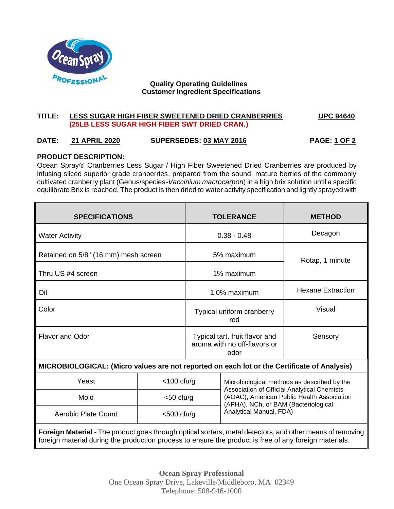

#### **Quality Operating Guidelines Customer Ingredient Specifications**

## **TITLE: LESS SUGAR HIGH FIBER SWEETENED DRIED CRANBERRIES UPC 94640 (25LB LESS SUGAR HIGH FIBER SWT DRIED CRAN.)**

# **DATE: 21 APRIL 2020 SUPERSEDES: 03 MAY 2016 PAGE: 1 OF 2**

## **PRODUCT DESCRIPTION:**

Ocean Spray® Cranberries Less Sugar / High Fiber Sweetened Dried Cranberries are produced by infusing sliced superior grade cranberries, prepared from the sound, mature berries of the commonly cultivated cranberry plant (Genus/species-*Vaccinium macrocarpon*) in a high brix solution until a specific equilibrate Brix is reached. The product is then dried to water activity specification and lightly sprayed with

| <b>SPECIFICATIONS</b>                                                                                                                                                                                                      |               | <b>TOLERANCE</b>                                                       |                                                                                                                                                                                  | <b>METHOD</b>            |
|----------------------------------------------------------------------------------------------------------------------------------------------------------------------------------------------------------------------------|---------------|------------------------------------------------------------------------|----------------------------------------------------------------------------------------------------------------------------------------------------------------------------------|--------------------------|
| <b>Water Activity</b>                                                                                                                                                                                                      |               | $0.38 - 0.48$                                                          |                                                                                                                                                                                  | Decagon                  |
| Retained on 5/8" (16 mm) mesh screen                                                                                                                                                                                       |               | 5% maximum                                                             |                                                                                                                                                                                  | Rotap, 1 minute          |
| Thru US #4 screen                                                                                                                                                                                                          |               | 1% maximum                                                             |                                                                                                                                                                                  |                          |
| Oil                                                                                                                                                                                                                        |               | 1.0% maximum                                                           |                                                                                                                                                                                  | <b>Hexane Extraction</b> |
| Color                                                                                                                                                                                                                      |               | Typical uniform cranberry<br>red                                       |                                                                                                                                                                                  | Visual                   |
| <b>Flavor and Odor</b>                                                                                                                                                                                                     |               | Typical tart, fruit flavor and<br>aroma with no off-flavors or<br>odor |                                                                                                                                                                                  | Sensory                  |
| MICROBIOLOGICAL: (Micro values are not reported on each lot or the Certificate of Analysis)                                                                                                                                |               |                                                                        |                                                                                                                                                                                  |                          |
| Yeast                                                                                                                                                                                                                      | $<$ 100 cfu/g |                                                                        | Microbiological methods as described by the<br>Association of Official Analytical Chemists<br>(AOAC), American Public Health Association<br>(APHA), NCh, or BAM (Bacteriological |                          |
| Mold                                                                                                                                                                                                                       | $<$ 50 cfu/g  |                                                                        |                                                                                                                                                                                  |                          |
| <b>Aerobic Plate Count</b>                                                                                                                                                                                                 | $<$ 500 cfu/g |                                                                        | Analytical Manual, FDA)                                                                                                                                                          |                          |
| <b>Foreign Material</b> - The product goes through optical sorters, metal detectors, and other means of removing<br>foreign material during the production process to ensure the product is free of any foreign materials. |               |                                                                        |                                                                                                                                                                                  |                          |